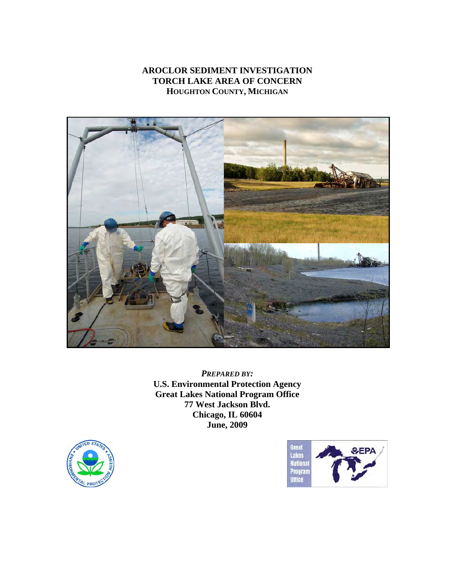# **AROCLOR SEDIMENT INVESTIGATION TORCH LAKE AREA OF CONCERN HOUGHTON COUNTY, MICHIGAN**



*PREPARED BY:* **U.S. Environmental Protection Agency Great Lakes National Program Office 77 West Jackson Blvd. Chicago, IL 60604 June, 2009** 



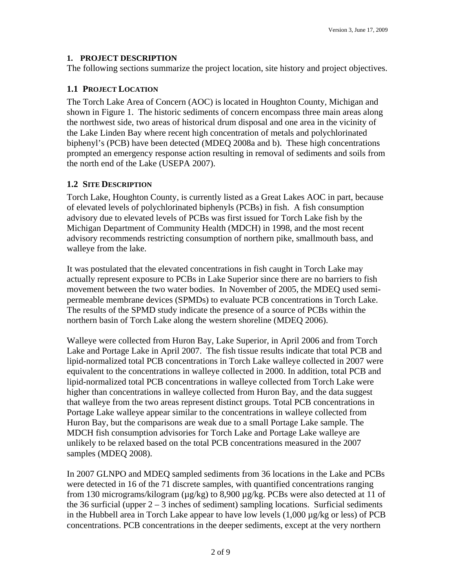#### **1. PROJECT DESCRIPTION**

The following sections summarize the project location, site history and project objectives.

#### **1.1 PROJECT LOCATION**

The Torch Lake Area of Concern (AOC) is located in Houghton County, Michigan and shown in Figure 1. The historic sediments of concern encompass three main areas along the northwest side, two areas of historical drum disposal and one area in the vicinity of the Lake Linden Bay where recent high concentration of metals and polychlorinated biphenyl's (PCB) have been detected (MDEQ 2008a and b). These high concentrations prompted an emergency response action resulting in removal of sediments and soils from the north end of the Lake (USEPA 2007).

### **1.2 SITE DESCRIPTION**

Torch Lake, Houghton County, is currently listed as a Great Lakes AOC in part, because of elevated levels of polychlorinated biphenyls (PCBs) in fish. A fish consumption advisory due to elevated levels of PCBs was first issued for Torch Lake fish by the Michigan Department of Community Health (MDCH) in 1998, and the most recent advisory recommends restricting consumption of northern pike, smallmouth bass, and walleye from the lake.

It was postulated that the elevated concentrations in fish caught in Torch Lake may actually represent exposure to PCBs in Lake Superior since there are no barriers to fish movement between the two water bodies. In November of 2005, the MDEQ used semipermeable membrane devices (SPMDs) to evaluate PCB concentrations in Torch Lake. The results of the SPMD study indicate the presence of a source of PCBs within the northern basin of Torch Lake along the western shoreline (MDEQ 2006).

Walleye were collected from Huron Bay, Lake Superior, in April 2006 and from Torch Lake and Portage Lake in April 2007. The fish tissue results indicate that total PCB and lipid-normalized total PCB concentrations in Torch Lake walleye collected in 2007 were equivalent to the concentrations in walleye collected in 2000. In addition, total PCB and lipid-normalized total PCB concentrations in walleye collected from Torch Lake were higher than concentrations in walleye collected from Huron Bay, and the data suggest that walleye from the two areas represent distinct groups. Total PCB concentrations in Portage Lake walleye appear similar to the concentrations in walleye collected from Huron Bay, but the comparisons are weak due to a small Portage Lake sample. The MDCH fish consumption advisories for Torch Lake and Portage Lake walleye are unlikely to be relaxed based on the total PCB concentrations measured in the 2007 samples (MDEQ 2008).

In 2007 GLNPO and MDEQ sampled sediments from 36 locations in the Lake and PCBs were detected in 16 of the 71 discrete samples, with quantified concentrations ranging from 130 micrograms/kilogram ( $\mu$ g/kg) to 8,900  $\mu$ g/kg. PCBs were also detected at 11 of the 36 surficial (upper  $2 - 3$  inches of sediment) sampling locations. Surficial sediments in the Hubbell area in Torch Lake appear to have low levels (1,000 µg/kg or less) of PCB concentrations. PCB concentrations in the deeper sediments, except at the very northern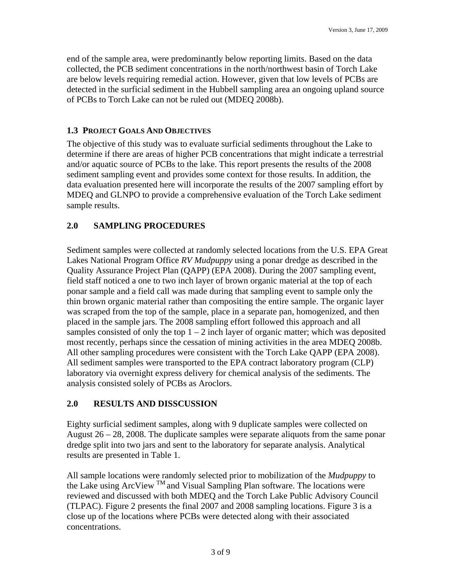end of the sample area, were predominantly below reporting limits. Based on the data collected, the PCB sediment concentrations in the north/northwest basin of Torch Lake are below levels requiring remedial action. However, given that low levels of PCBs are detected in the surficial sediment in the Hubbell sampling area an ongoing upland source of PCBs to Torch Lake can not be ruled out (MDEQ 2008b).

#### **1.3 PROJECT GOALS AND OBJECTIVES**

The objective of this study was to evaluate surficial sediments throughout the Lake to determine if there are areas of higher PCB concentrations that might indicate a terrestrial and/or aquatic source of PCBs to the lake. This report presents the results of the 2008 sediment sampling event and provides some context for those results. In addition, the data evaluation presented here will incorporate the results of the 2007 sampling effort by MDEQ and GLNPO to provide a comprehensive evaluation of the Torch Lake sediment sample results.

### **2.0 SAMPLING PROCEDURES**

Sediment samples were collected at randomly selected locations from the U.S. EPA Great Lakes National Program Office *RV Mudpuppy* using a ponar dredge as described in the Quality Assurance Project Plan (QAPP) (EPA 2008). During the 2007 sampling event, field staff noticed a one to two inch layer of brown organic material at the top of each ponar sample and a field call was made during that sampling event to sample only the thin brown organic material rather than compositing the entire sample. The organic layer was scraped from the top of the sample, place in a separate pan, homogenized, and then placed in the sample jars. The 2008 sampling effort followed this approach and all samples consisted of only the top  $1 - 2$  inch layer of organic matter; which was deposited most recently, perhaps since the cessation of mining activities in the area MDEQ 2008b. All other sampling procedures were consistent with the Torch Lake QAPP (EPA 2008). All sediment samples were transported to the EPA contract laboratory program (CLP) laboratory via overnight express delivery for chemical analysis of the sediments. The analysis consisted solely of PCBs as Aroclors.

## **2.0 RESULTS AND DISSCUSSION**

Eighty surficial sediment samples, along with 9 duplicate samples were collected on August  $26 - 28$ , 2008. The duplicate samples were separate aliquots from the same ponar dredge split into two jars and sent to the laboratory for separate analysis. Analytical results are presented in Table 1.

All sample locations were randomly selected prior to mobilization of the *Mudpuppy* to the Lake using ArcView <sup>TM</sup> and Visual Sampling Plan software. The locations were reviewed and discussed with both MDEQ and the Torch Lake Public Advisory Council (TLPAC). Figure 2 presents the final 2007 and 2008 sampling locations. Figure 3 is a close up of the locations where PCBs were detected along with their associated concentrations.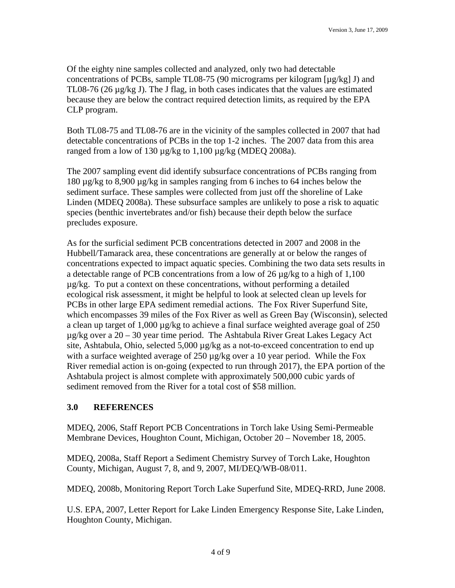Of the eighty nine samples collected and analyzed, only two had detectable concentrations of PCBs, sample TL08-75 (90 micrograms per kilogram [µg/kg] J) and TL08-76 (26 µg/kg J). The J flag, in both cases indicates that the values are estimated because they are below the contract required detection limits, as required by the EPA CLP program.

Both TL08-75 and TL08-76 are in the vicinity of the samples collected in 2007 that had detectable concentrations of PCBs in the top 1-2 inches. The 2007 data from this area ranged from a low of 130  $\mu$ g/kg to 1,100  $\mu$ g/kg (MDEQ 2008a).

The 2007 sampling event did identify subsurface concentrations of PCBs ranging from 180 µg/kg to 8,900 µg/kg in samples ranging from 6 inches to 64 inches below the sediment surface. These samples were collected from just off the shoreline of Lake Linden (MDEQ 2008a). These subsurface samples are unlikely to pose a risk to aquatic species (benthic invertebrates and/or fish) because their depth below the surface precludes exposure.

As for the surficial sediment PCB concentrations detected in 2007 and 2008 in the Hubbell/Tamarack area, these concentrations are generally at or below the ranges of concentrations expected to impact aquatic species. Combining the two data sets results in a detectable range of PCB concentrations from a low of 26  $\mu$ g/kg to a high of 1,100  $\mu$ g/kg. To put a context on these concentrations, without performing a detailed ecological risk assessment, it might be helpful to look at selected clean up levels for PCBs in other large EPA sediment remedial actions. The Fox River Superfund Site, which encompasses 39 miles of the Fox River as well as Green Bay (Wisconsin), selected a clean up target of  $1,000 \mu g/kg$  to achieve a final surface weighted average goal of 250 µg/kg over a 20 – 30 year time period. The Ashtabula River Great Lakes Legacy Act site, Ashtabula, Ohio, selected 5,000  $\mu$ g/kg as a not-to-exceed concentration to end up with a surface weighted average of 250  $\mu$ g/kg over a 10 year period. While the Fox River remedial action is on-going (expected to run through 2017), the EPA portion of the Ashtabula project is almost complete with approximately 500,000 cubic yards of sediment removed from the River for a total cost of \$58 million.

#### **3.0 REFERENCES**

MDEQ, 2006, Staff Report PCB Concentrations in Torch lake Using Semi-Permeable Membrane Devices, Houghton Count, Michigan, October 20 – November 18, 2005.

MDEQ, 2008a, Staff Report a Sediment Chemistry Survey of Torch Lake, Houghton County, Michigan, August 7, 8, and 9, 2007, MI/DEQ/WB-08/011.

MDEQ, 2008b, Monitoring Report Torch Lake Superfund Site, MDEQ-RRD, June 2008.

U.S. EPA, 2007, Letter Report for Lake Linden Emergency Response Site, Lake Linden, Houghton County, Michigan.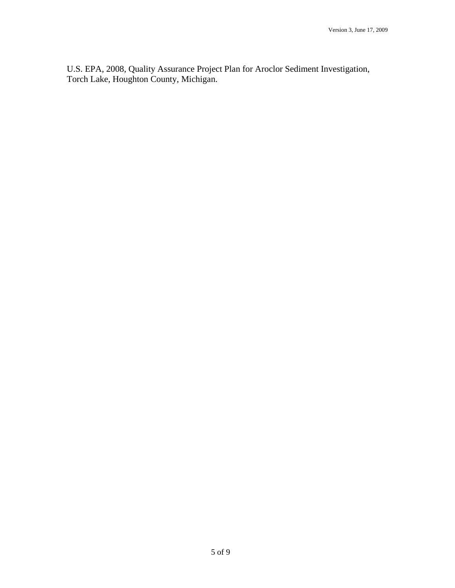U.S. EPA, 2008, Quality Assurance Project Plan for Aroclor Sediment Investigation, Torch Lake, Houghton County, Michigan.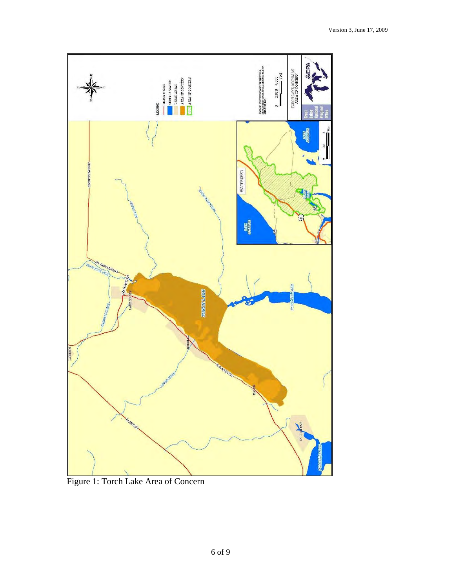

Figure 1: Torch Lake Area of Concern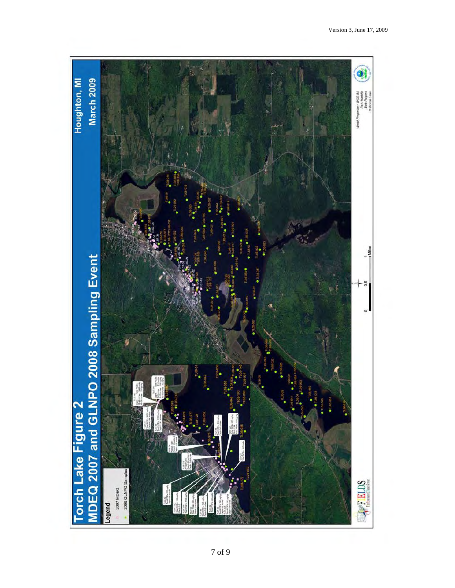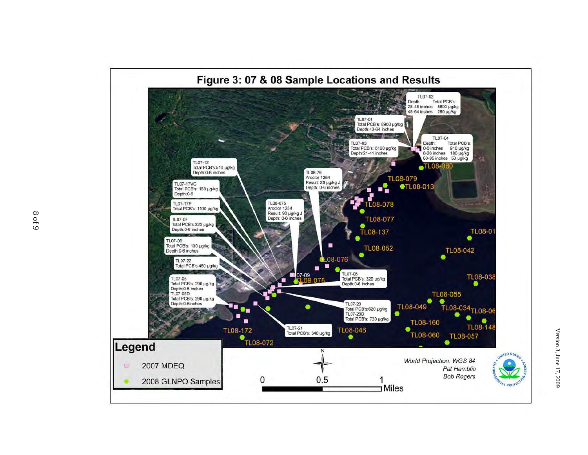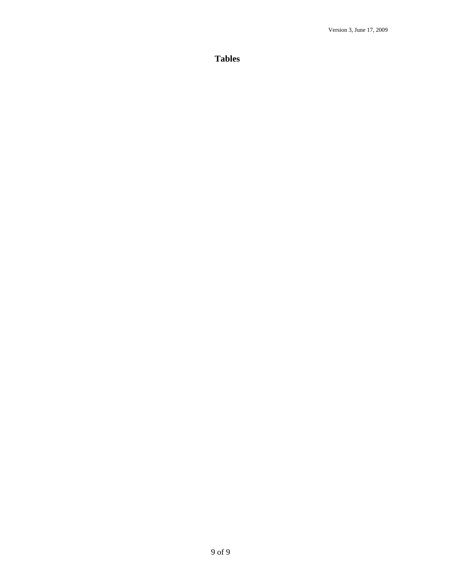**Tables**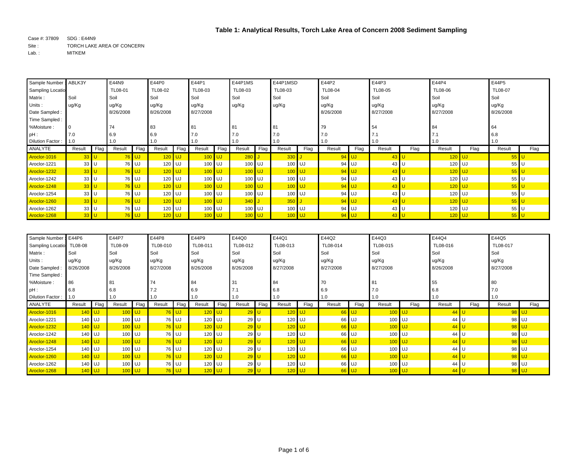Case #: 37809 SDG : E44N9 Site : TORCH LAKE AREA OF CONCERN Lab. : MITKEM

| Sample Number: ABLK3Y |                 |      | E44N9     |         | E44P0     |      | E44P1     |      | E44P1MS  |      | E44P1MSD |      | E44P2     |         | E44P3     |      | E44P4     |      | E44P5          |      |
|-----------------------|-----------------|------|-----------|---------|-----------|------|-----------|------|----------|------|----------|------|-----------|---------|-----------|------|-----------|------|----------------|------|
| Sampling Locatio      |                 |      | TL08-01   |         | TL08-02   |      | TL08-03   |      | TL08-03  |      | TL08-03  |      | TL08-04   |         | TL08-05   |      | TL08-06   |      | <b>TL08-07</b> |      |
| Matrix:               | Soil            |      | Soil      |         | Soil      |      | Soil      |      | Soil     |      | Soil     |      | Soil      |         | Soil      |      | Soil      |      | Soil           |      |
| Units:                | ug/Kg           |      | ug/Kg     |         | ug/Kg     |      | ug/Kg     |      | ug/Kg    |      | ug/Kg    |      | ug/Kg     |         | ug/Kg     |      | ug/Kg     |      | ug/Kg          |      |
| Date Sampled:         |                 |      | 8/26/2008 |         | 8/26/2008 |      | 8/27/2008 |      |          |      |          |      | 8/26/2008 |         | 8/27/2008 |      | 8/27/2008 |      | 8/26/2008      |      |
| Time Sampled:         |                 |      |           |         |           |      |           |      |          |      |          |      |           |         |           |      |           |      |                |      |
| %Moisture:            |                 |      | 74        |         | 83        |      | 81        |      | -81      |      | 81       |      | 79        |         | 54        |      | 84        |      | 64             |      |
| $pH$ :                | 7.0             |      | 6.9       |         | 6.9       |      | 7.0       |      | 7.0      |      | 7.0      |      | 7.0       |         | 7.1       |      |           |      | 6.8            |      |
| Dilution Factor:      | 1.0             |      | 1.0       |         | 1.0       |      | 1.0       |      | 1.0      |      | 1.0      |      | 1.0       |         | 1.0       |      | 1.0       |      | 1.0            |      |
| ANALYTE               | Result          | Flag | Result    | Flag    | Result    | Flag | Result    | Flag | Result   | Flag | Result   | Flag | Result    | Flag    | Result    | Flag | Result    | Flag | Result         | Flag |
| Aroclor-1016          | $33$ U          |      |           | $76$ UJ | 120       | UJ.  | $100$ UJ  |      | 280      |      | 330      |      |           | $94$ UJ | $43$ U    |      | $120$ UJ  |      | 55             |      |
| Aroclor-1221          | $33$ U          |      | 76 UJ     |         | 120 UJ    |      | 100 UJ    |      | 100      | l UJ | 100 UJ   |      |           | 94 UJ   | 43 U      |      | 120 UJ    |      | 55 U           |      |
| Aroclor-1232          | $33$ U          |      |           | $76$ UJ | $120$ UJ  |      | $100$ UJ  |      | $100$ UJ |      | $100$ UJ |      |           | $94$ UJ | $43$ U    |      | $120$ UJ  |      | 55             |      |
| Aroclor-1242          | 33 <sup>U</sup> |      |           | 76 UJ   | $120$ UJ  |      | 100 UJ    |      | 100      | I UJ | 100 UJ   |      |           | 94 UJ   | 43 U      |      | 120 UJ    |      | $55$ U         |      |
| Aroclor-1248          | $33$ U          |      |           | $76$ UJ | $120$ UJ  |      | $100$ UJ  |      | $100$ UJ |      | $100$ UJ |      |           | $94$ UJ | $43$ U    |      | $120$ UJ  |      | $55$ U         |      |
| Aroclor-1254          | 33 <sup>U</sup> |      |           | 76 UJ   | 120 UJ    |      | 100 UJ    |      | 100      | l UJ | 100 UJ   |      |           | 94 UJ   | 43 U      |      | 120 UJ    |      | 55 U           |      |
| Aroclor-1260          | $33$ U          |      |           | $76$ UJ | $120$ UJ  |      | $100$ UJ  |      | 340      |      | $350$ J  |      |           | $94$ UJ | $43$ U    |      | $120$ UJ  |      | $55$ U         |      |
| Aroclor-1262          | 33 U            |      |           | 76 UJ   | 120 UJ    |      | 100 UJ    |      | 100      | l UJ | 100 UJ   |      |           | 94 UJ   | 43 U      |      | 120 UJ    |      | $55$ U         |      |
| Aroclor-1268          | 33              |      |           | $76$ UJ | $120$ UJ  |      | $100$ UJ  |      | 100      | ¶∪J  | $100$ UJ |      |           | 94 UJ   | $43$ U    |      | $120$ UJ  |      | $55$ U         |      |

| Sample Number           | E44P6          |             | E44P7     |           | E44P8     |         | E44P9     |      | E44Q0     |      | E44Q1     |      | E44Q2     |              | E44Q3     |      | E44Q4                 |      | E44Q5     |      |
|-------------------------|----------------|-------------|-----------|-----------|-----------|---------|-----------|------|-----------|------|-----------|------|-----------|--------------|-----------|------|-----------------------|------|-----------|------|
| <b>Sampling Locatio</b> | <b>TL08-08</b> |             | TL08-09   |           | TL08-010  |         | TL08-011  |      | TL08-012  |      | TL08-013  |      | TL08-014  |              | TL08-015  |      | TL08-016              |      | TL08-017  |      |
| Matrix:                 | Soil           |             | Soil      |           | Soil      |         | Soil      |      | Soil      |      | Soil      |      | Soil      |              | Soil      |      | Soil                  |      | Soil      |      |
| Units:                  | ug/Kg          |             | ug/Kg     |           | ug/Kg     |         | ug/Kg     |      | ug/Kg     |      | ug/Kg     |      | ug/Kg     |              | ug/Kg     |      | ug/Kg                 |      | ug/Kg     |      |
| Date Sampled            | 8/26/2008      |             | 8/26/2008 |           | 8/27/2008 |         | 8/26/2008 |      | 8/26/2008 |      | 8/27/2008 |      | 8/27/2008 |              | 8/27/2008 |      | 8/26/2008             |      | 8/27/2008 |      |
| Time Sampled:           |                |             |           |           |           |         |           |      |           |      |           |      |           |              |           |      |                       |      |           |      |
| %Moisture:              | 86             |             | 81        |           | 74        |         | 84        |      | 31        |      | 84        |      | 70        |              | 81        |      | 55                    |      | 80        |      |
| $pH$ :                  | 6.8            |             | 6.8       |           | 7.2       |         | 6.9       |      | 7.1       |      | 6.8       |      | 6.9       |              | 7.0       |      | 6.8                   |      | 7.0       |      |
| Dilution Factor:        | 1.0            |             | 1.0       |           | 1.0       |         | 1.0       |      | 1.0       |      | 1.0       |      | 1.0       |              | 1.0       |      | 1.0                   |      | 1.0       |      |
| ANALYTE                 | Result         | <b>Flag</b> | Result    | Flag      | Result    | Flag    | Result    | Flag | Result    | Flag | Result    | Flag | Result    | Flag         | Result    | Flag | Result                | Flag | Result    | Flag |
| Aroclor-1016            | 140            | UJ          | $100$ UJ  |           |           | $76$ UJ | $120$ UJ  |      | $29$ U    |      | $120$ UJ  |      |           | 66 UJ        | $100$ UJ  |      | 44                    |      | 98 UJ     |      |
| Aroclor-1221            | 140 UJ         |             | 100       | <b>UJ</b> | 76 UJ     |         | 120 UJ    |      | 29 U      |      | 120 UJ    |      |           | 66 UJ        | 100       | l UJ | $44$   $\overline{ }$ |      | 98        | l UJ |
| Aroclor-1232            | $140$ UJ       |             | $100$ UJ  |           | $76$ UJ   |         | $120$ UJ  |      | $29$ U    |      | $120$ UJ  |      |           | $66$ UJ      | $100$ UJ  |      | 44                    |      | 98 UJ     |      |
| Aroclor-1242            | 140            | l UJ        | 100       | UJ        |           | 76 UJ   | 120 UJ    |      | 29 U      |      | 120 UJ    |      |           | 66 UJ        | 100       | l UJ | 44 U                  |      | 98        | l UJ |
| Aroclor-1248            | $140$ UJ       |             | $100$ UJ  |           |           | $76$ UJ | $120$ UJ  |      | $29$ U    |      | $120$ UJ  |      |           | <b>66 UJ</b> | $100$ UJ  |      | $44$ U                |      | 98 UJ     |      |
| Aroclor-1254            | 140            | l UJ        | 100       | <b>UJ</b> | 76 UJ     |         | 120 UJ    |      | $29$ U    |      | 120 UJ    |      |           | 66 UJ        | 100       | l UJ | 44 U                  |      | 98        | l UJ |
| Aroclor-1260            | 140            | <b>I</b> UJ | $100$ UJ  |           | $76$ UJ   |         | $120$ UJ  |      | $29$ U    |      | $120$ UJ  |      |           | 66 UJ        | $100$ UJ  |      | $44$ U                |      | $98$ UJ   |      |
| Aroclor-1262            | 140            | l UJ        | 100       | UJ        | 76 UJ     |         | 120 UJ    |      | 29 U      |      | 120 UJ    |      |           | 66 UJ        | 100       | l UJ | 44 U                  |      | 98 UJ     |      |
| Aroclor-1268            | $140$ UJ       |             | $100$ UJ  |           |           | $76$ UJ | $120$ UJ  |      | $29$ U    |      | $120$ UJ  |      |           | $66$ UJ      | $100$ UJ  |      | $44$ U                |      | 98 UJ     |      |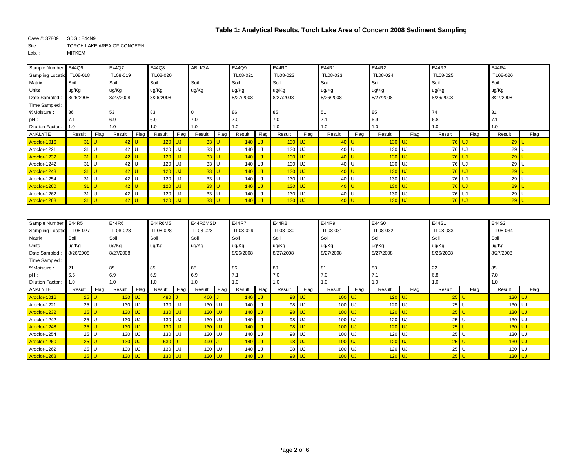| Sample Number: E44Q6      |           |      | E44Q7     |      | E44Q8     |           | ABLK3A |      | E44Q9     |      | E44R0     |      | E44R1     |        | E44R2     |      | E44R3     |         | E44R4     |      |
|---------------------------|-----------|------|-----------|------|-----------|-----------|--------|------|-----------|------|-----------|------|-----------|--------|-----------|------|-----------|---------|-----------|------|
| Sampling Locatio TL08-018 |           |      | TL08-019  |      | TL08-020  |           |        |      | TL08-021  |      | TL08-022  |      | TL08-023  |        | TL08-024  |      | TL08-025  |         | TL08-026  |      |
| Matrix:                   | Soil      |      | Soil      |      | Soil      |           | Soil   |      | Soil      |      | Soil      |      | Soil      |        | Soil      |      | Soil      |         | Soil      |      |
| Units:                    | ug/Kg     |      | ug/Kg     |      | ug/Kg     |           | ug/Kg  |      | ug/Kg     |      | ug/Kg     |      | ug/Kg     |        | ug/Kg     |      | ug/Kg     |         | ug/Kg     |      |
| Date Sampled              | 8/26/2008 |      | 8/27/2008 |      | 8/26/2008 |           |        |      | 8/27/2008 |      | 8/27/2008 |      | 8/26/2008 |        | 8/27/2008 |      | 8/26/2008 |         | 8/27/2008 |      |
| Time Sampled:             |           |      |           |      |           |           |        |      |           |      |           |      |           |        |           |      |           |         |           |      |
| %Moisture:                | 36        |      | 53        |      | 83        |           |        |      | 86        |      | 85        |      | 51        |        | 85        |      | 74        |         | -31       |      |
| pH:                       | 7.1       |      | 6.9       |      | 6.9       |           | 7.0    |      | 7.0       |      | 7.0       |      | 7.1       |        | 6.9       |      | 6.8       |         |           |      |
| Dilution Factor:          | 1.0       |      | 1.0       |      | 1.0       |           | 1.0    |      | 1.0       |      | 1.0       |      | 1.0       |        | 1.0       |      | 1.0       |         | 1.0       |      |
| ANALYTE                   | Result    | Flag | Result    | Flag | Result    | Flag      | Result | Flag | Result    | Flag | Result    | Flag | Result    | Flag   | Result    | Flag | Result    | Flag    | Result    | Flag |
| Aroclor-1016              | $31$ U    |      | $42$ U    |      | $120$ UJ  |           | $33$ U |      | $140$ UJ  |      | $130$ UJ  |      |           | $40$ U | $130$ UJ  |      |           | $76$ UJ | $29$ U    |      |
| Aroclor-1221              | $31$ U    |      | 42 U      |      | 120       | UJ        | 33 U   |      | 140 UJ    |      | 130 UJ    |      | 40        | U      | 130 UJ    |      |           | 76 UJ   | 29 U      |      |
| Aroclor-1232              | $31$ U    |      | $42$ U    |      | $120$ UJ  |           | $33$ U |      | $140$ UJ  |      | $130$ UJ  |      | $40$ U    |        | $130$ UJ  |      |           | $76$ UJ | 29        |      |
| Aroclor-1242              | $31$ U    |      | 42 U      |      | 120       | <b>UJ</b> | 33 U   |      | 140 UJ    |      | 130 UJ    |      | 40 U      |        | 130 UJ    |      |           | 76 UJ   | 29 U      |      |
| Aroclor-1248              | $31$ U    |      | $42$ U    |      | $120$ UJ  |           | $33$ U |      | $140$ UJ  |      | $130$ UJ  |      | 40 U      |        | $130$ UJ  |      |           | $76$ UJ | 29        |      |
| Aroclor-1254              | 31        | U    | 42 U      |      | 120       | UJ.       | 33 U   |      | 140 UJ    |      | 130 UJ    |      | 40 U      |        | 130 UJ    |      |           | 76 UJ   | 29 U      |      |
| Aroclor-1260              | $31$ U    |      | $42$ U    |      | $120$ UJ  |           | $33$ U |      | $140$ UJ  |      | $130$ UJ  |      |           | $40$ U | $130$ UJ  |      |           | $76$ UJ | 29        |      |
| Aroclor-1262              | 31        | U    | 42 U      |      | $120$ UJ  |           | 33 U   |      | 140 UJ    |      | 130 UJ    |      | 40 U      |        | 130 UJ    |      |           | 76 UJ   | 29 U      |      |
| Aroclor-1268              | $31$ U    |      | $42$ U    |      | $120$ UJ  |           | $33$ U |      | $140$ UJ  |      | $130$ UJ  |      |           | $40$ U | $130$ UJ  |      |           | $76$ UJ | $29$ U    |      |

| Sample Number: E44R5 |           |      | E44R6            |      | E44R6MS  |      | E44R6MSD |      | E44R7     |      | E44R8     |       | E44R9     |          | E44S0     |      | E44S1     |      | E44S2     |      |
|----------------------|-----------|------|------------------|------|----------|------|----------|------|-----------|------|-----------|-------|-----------|----------|-----------|------|-----------|------|-----------|------|
| Sampling Locatio     | TL08-027  |      | TL08-028         |      | TL08-028 |      | TL08-028 |      | TL08-029  |      | TL08-030  |       | TL08-031  |          | TL08-032  |      | TL08-033  |      | TL08-034  |      |
| Matrix:              | Soil      |      | Soil             |      | Soil     |      | Soil     |      | Soil      |      | Soil      |       | Soil      |          | Soil      |      | Soil      |      | Soil      |      |
| Units:               | ug/Kg     |      | ug/Kg            |      | ug/Kg    |      | ug/Kg    |      | ug/Kg     |      | ug/Kg     |       | ug/Kg     |          | ug/Kg     |      | ug/Kg     |      | ug/Kg     |      |
| Date Sampled:        | 8/26/2008 |      | 8/27/2008        |      |          |      |          |      | 8/26/2008 |      | 8/27/2008 |       | 8/27/2008 |          | 8/27/2008 |      | 8/26/2008 |      | 8/27/2008 |      |
| Time Sampled:        |           |      |                  |      |          |      |          |      |           |      |           |       |           |          |           |      |           |      |           |      |
| %Moisture:           | 21        |      | 85               |      | 85       |      | 85       |      | 86        |      | 80        |       | 81        |          | 83        |      | 22        |      | 85        |      |
| pH:                  | 6.6       |      | 6.9              |      | 6.9      |      | 6.9      |      |           |      | 7.0       |       | 7.0       |          | 7.1       |      | 6.8       |      | 7.0       |      |
| Dilution Factor:     | 1.0       |      | 1.0              |      | 1.0      |      | 1.0      |      | 1.0       |      | 1.0       |       | 1.0       |          | 1.0       |      | 1.0       |      | 1.0       |      |
| ANALYTE              | Result    | Flag | Result           | Flag | Result   | Flag | Result   | Flag | Result    | Flag | Result    | Flag  | Result    | Flag     | Result    | Flag | Result    | Flag | Result    | Flag |
| Aroclor-1016         | $25$ U    |      | 130              | UJ   | 480      |      | 460      |      | $140$ UJ  |      |           | 98 UJ | $100$ UJ  |          | $120$ UJ  |      | $25$      |      | $130$ UJ  |      |
| Aroclor-1221         | $25$ U    |      | 130              | UJ   | 130 UJ   |      | 130 UJ   |      | 140 UJ    |      |           | 98 UJ | 100 UJ    |          | 120 UJ    |      | $25$ U    |      | 130 UJ    |      |
| Aroclor-1232         | $25$ U    |      | $130$ UJ         |      | $130$ UJ |      | 130 UJ   |      | $140$ UJ  |      |           | 98 UJ | $100$ UJ  |          | $120$ UJ  |      | $25$ U    |      | $130$ UJ  |      |
| Aroclor-1242         | $25$ U    |      | 130 UJ           |      | 130 UJ   |      | 130 UJ   |      | 140 UJ    |      |           | 98 UJ | 100 UJ    |          | 120 UJ    |      | $25$ U    |      | 130 UJ    |      |
| Aroclor-1248         | $25$ U    |      | $130$ UJ         |      | $130$ UJ |      | $130$ UJ |      | $140$ UJ  |      |           | 98 UJ |           | $100$ UJ | $120$ UJ  |      | $25$   L  |      | $130$ UJ  |      |
| Aroclor-1254         | $25$ U    |      | 130              | UJ   | 130 UJ   |      | 130 UJ   |      | 140 UJ    |      |           | 98 UJ | 100 UJ    |          | 120 UJ    |      | $25$ U    |      | 130 UJ    |      |
| Aroclor-1260         | $25$ U    |      | 130              | UJ   | $530$ J  |      | 490      |      | $140$ UJ  |      |           | 98 UJ |           | $100$ UJ | $120$ UJ  |      | $25$      |      | $130$ UJ  |      |
| Aroclor-1262         | $25$ U    |      | 130              | UJ   | 130 UJ   |      | 130 UJ   |      | 140 UJ    |      |           | 98 UJ | 100 UJ    |          | 120 UJ    |      | $25$ U    |      | 130 UJ    |      |
| Aroclor-1268         | $25$ U    |      | 130 <sub>1</sub> | UJ.  | $130$ UJ |      | $130$ UJ |      | $140$ UJ  |      |           | 98 UJ |           | $100$ UJ | $120$ UJ  |      | $25$ U    |      | $130$ UJ  |      |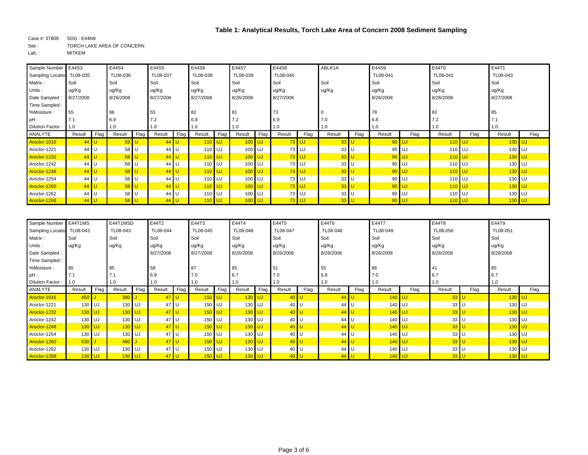| Sample Number: E44S3      |           |      | E44S4     |      | E44S5           |      | E44S6     |      | E44S7     |      | E44S8     |         | ABLK1A |        | E44S9     |         | E44T0     |      | E44T1     |      |
|---------------------------|-----------|------|-----------|------|-----------------|------|-----------|------|-----------|------|-----------|---------|--------|--------|-----------|---------|-----------|------|-----------|------|
| Sampling Locatio TL08-035 |           |      | TL08-036  |      | TL08-037        |      | TL08-038  |      | TL08-039  |      | TL08-040  |         |        |        | TL08-041  |         | TL08-042  |      | TL08-043  |      |
| Matrix:                   | Soil      |      | Soil      |      | Soil            |      | Soil      |      | Soil      |      | Soil      |         | Soil   |        | Soil      |         | Soil      |      | Soil      |      |
| Units:                    | ug/Kg     |      | ug/Kg     |      | ug/Kg           |      | ug/Kg     |      | ug/Kg     |      | ug/Kg     |         | ug/Kg  |        | ug/Kg     |         | ug/Kg     |      | ug/Kg     |      |
| Date Sampled              | 8/27/2008 |      | 8/26/2008 |      | 8/27/2008       |      | 8/27/2008 |      | 8/26/2008 |      | 8/27/2008 |         |        |        | 8/26/2008 |         | 8/26/2008 |      | 8/27/2008 |      |
| Time Sampled:             |           |      |           |      |                 |      |           |      |           |      |           |         |        |        |           |         |           |      |           |      |
| %Moisture:                | 55        |      | 66        |      | 55              |      | 82        |      | 81        |      | 73        |         |        |        | 78        |         | 82        |      | 85        |      |
| $pH$ :                    | 7.1       |      | 6.9       |      | 7.2             |      | 6.8       |      | 7.2       |      | 6.9       |         | 7.0    |        | 6.8       |         | 7.2       |      | 7.1       |      |
| Dilution Factor:          | 1.0       |      | 1.0       |      | 1.0             |      | 1.0       |      | 1.0       |      | 1.0       |         | 1.0    |        | 1.0       |         | 1.0       |      | 1.0       |      |
| ANALYTE                   | Result    | Flag | Result    | Flag | Result          | Flag | Result    | Flag | Result    | Flag | Result    | Flag    | Result | Flag   | Result    | Flag    | Result    | Flag | Result    | Flag |
| Aroclor-1016              | $44$ U    |      | $58$ U    |      | $44$ U          |      | $110$ UJ  |      | $100$ UJ  |      |           | $73$ UJ |        | $33$ U |           | $90$ UJ | $110$ UJ  |      | $130$ UJ  |      |
| Aroclor-1221              | 44 U      |      | 58 U      |      | 44 <sub>1</sub> |      | 110 UJ    |      | 100 UJ    |      |           | 73 UJ   | 33 U   |        |           | 90 UJ   | 110 UJ    |      | 130 UJ    |      |
| Aroclor-1232              | $44$ U    |      | $58$ U    |      | 44 U            |      | $110$ UJ  |      | $100$ UJ  |      |           | $73$ UJ |        | $33$ U |           | $90$ UJ | $110$ UJ  |      | $130$ UJ  |      |
| Aroclor-1242              | 44 U      |      | 58 U      |      | 44              |      | 110 UJ    |      | 100 UJ    |      |           | 73 UJ   | 33 U   |        |           | 90 UJ   | 110 UJ    |      | 130 UJ    |      |
| Aroclor-1248              | $44$ U    |      | $58$ U    |      | 44 U            |      | $110$ UJ  |      | $100$ UJ  |      |           | $73$ UJ | $33$ U |        |           | $90$ UJ | $110$ UJ  |      | $130$ UJ  |      |
| Aroclor-1254              | 44        | U    | 58 U      |      | 44 U            |      | 110 UJ    |      | 100 UJ    |      |           | 73 UJ   | $33$ U |        |           | 90 UJ   | 110 UJ    |      | 130 UJ    |      |
| Aroclor-1260              | $44$ U    |      | $58$ U    |      | 44 U            |      | $110$ UJ  |      | $100$ UJ  |      |           | $73$ UJ |        | $33$ U |           | $90$ UJ | $110$ UJ  |      | $130$ UJ  |      |
| Aroclor-1262              | 44 U      |      | 58 U      |      | 44              | J.   | 110 UJ    |      | 100 UJ    |      |           | 73 UJ   | 33 U   |        |           | 90 UJ   | 110 UJ    |      | 130 UJ    |      |
| Aroclor-1268              | $44$ U    |      | $58$ U    |      | 44 U            |      | $110$ UJ  |      | $100$ UJ  |      |           | $73$ UJ |        | $33$ U |           | $90$ UJ | $110$ UJ  |      | $130$ UJ  |      |

| Sample Number: E44T1MS |          |      | E44T1MSD |      | E44T2     |      | E44T3     |      | E44T4     |      | E44T5     |      | E44T6     |      | E44T7     |      | E44T8           |      | E44T9     |      |
|------------------------|----------|------|----------|------|-----------|------|-----------|------|-----------|------|-----------|------|-----------|------|-----------|------|-----------------|------|-----------|------|
| Sampling Locatio       | TL08-043 |      | TL08-043 |      | TL08-044  |      | TL08-045  |      | TL08-046  |      | TL08-047  |      | TL08-048  |      | TL08-049  |      | TL08-050        |      | TL08-051  |      |
| Matrix:                | Soil     |      | Soil     |      | Soil      |      | Soil      |      | Soil      |      | Soil      |      | Soil      |      | Soil      |      | Soil            |      | Soil      |      |
| Units:                 | ug/Kg    |      | ug/Kg    |      | ug/Kg     |      | ug/Kg     |      | ug/Kg     |      | ug/Kg     |      | ug/Kg     |      | ug/Kg     |      | ug/Kg           |      | ug/Kg     |      |
| Date Sampled:          |          |      |          |      | 8/27/2008 |      | 8/27/2008 |      | 8/26/2008 |      | 8/26/2008 |      | 8/26/2008 |      | 8/26/2008 |      | 8/26/2008       |      | 8/26/2008 |      |
| Time Sampled:          |          |      |          |      |           |      |           |      |           |      |           |      |           |      |           |      |                 |      |           |      |
| %Moisture:             | 85       |      | 85       |      | 58        |      | 87        |      | 85        |      | 51        |      | 55        |      | 86        |      | 41              |      | 85        |      |
| $pH$ :                 | 7.1      |      |          |      | 6.9       |      | 7.0       |      | 6.7       |      | 7.0       |      | 6.8       |      | 7.0       |      | 6.7             |      | 6.7       |      |
| Dilution Factor:       | 1.0      |      | 1.0      |      | 1.0       |      | 1.0       |      | 1.0       |      | 1.0       |      | 1.0       |      | 1.0       |      | 1.0             |      | 1.0       |      |
| ANALYTE                | Result   | Flag | Result   | Flag | Result    | Flag | Result    | Flag | Result    | Flag | Result    | Flag | Result    | Flag | Result    | Flag | Result          | Flag | Result    | Flag |
| Aroclor-1016           | $450$ J  |      | $380$ J  |      | $47$ U    |      | $150$ UJ  |      | 130       |      | 40 U      |      | $44$ U    |      | $140$ UJ  |      | $33$ U          |      | $130$ UJ  |      |
| Aroclor-1221           | 130 UJ   |      | 130 UJ   |      | 47 U      |      | 150 UJ    |      | 130       | l UJ | 40        |      | 44 U      |      | 140 UJ    |      | 33              |      | 130 UJ    |      |
| Aroclor-1232           | $130$ UJ |      | $130$ UJ |      | $47$ U    |      | $150$ UJ  |      | $130$ UJ  |      | 40        |      | 44 U      |      | $140$ UJ  |      | $33$ U          |      | $130$ UJ  |      |
| Aroclor-1242           | 130 UJ   |      | $130$ UJ |      | $47$ U    |      | 150 UJ    |      | 130 UJ    |      | 40        |      | 44 U      |      | 140 UJ    |      | 33 U            |      | 130 UJ    |      |
| Aroclor-1248           | $130$ UJ |      | $130$ UJ |      | $47$ U    |      | $150$ UJ  |      | $130$ UJ  |      | 40        |      | $44$ U    |      | $140$ UJ  |      | $33$ U          |      | $130$ UJ  |      |
| Aroclor-1254           | 130 UJ   |      | $130$ UJ |      | $47$ U    |      | 150 UJ    |      | 130 UJ    |      | 40        |      | 44 U      |      | 140 UJ    |      | $33$ U          |      | 130 UJ    |      |
| Aroclor-1260           | $530$ J  |      | $480$ J  |      | $47$ U    |      | $150$ UJ  |      | $130$ UJ  |      | 40        |      | $44$ U    |      | $140$ UJ  |      | $33$ U          |      | $130$ UJ  |      |
| Aroclor-1262           | 130 UJ   |      | $130$ UJ |      | 47 U      |      | 150 UJ    |      | 130 UJ    |      | 40        |      | 44 U      |      | 140 UJ    |      | 33 <sup>1</sup> |      | 130 UJ    |      |
| Aroclor-1268           | $130$ UJ |      | $130$ UJ |      | 47 U      |      | $150$ UJ  |      | 130       | l UJ |           |      | 44 U      |      | $140$ UJ  |      | $33$ U          |      | $130$ UJ  |      |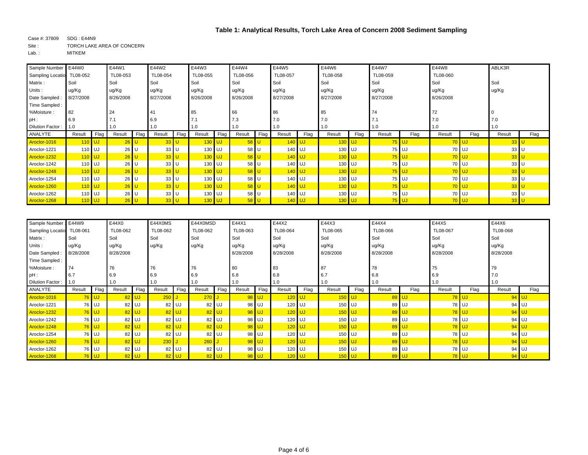| Sample Number: E44W0      |           |      | E44W1     |      | E44W2           |      | E44W3     |      | E44W4         |      | E44W5     |      | E44W6     |      | E44W7     |         | E44W8     |         | ABLK3R |      |
|---------------------------|-----------|------|-----------|------|-----------------|------|-----------|------|---------------|------|-----------|------|-----------|------|-----------|---------|-----------|---------|--------|------|
| Sampling Locatio TL08-052 |           |      | TL08-053  |      | TL08-054        |      | TL08-055  |      | TL08-056      |      | TL08-057  |      | TL08-058  |      | TL08-059  |         | TL08-060  |         |        |      |
| Matrix:                   | Soil      |      | Soil      |      | Soil            |      | Soil      |      | Soil          |      | Soil      |      | Soil      |      | Soil      |         | Soil      |         | Soil   |      |
| Units:                    | ug/Kg     |      | ug/Kg     |      | ug/Kg           |      | ug/Kg     |      | ug/Kg         |      | ug/Kg     |      | ug/Kg     |      | ug/Kg     |         | ug/Kg     |         | ug/Kg  |      |
| Date Sampled              | 8/27/2008 |      | 8/26/2008 |      | 8/27/2008       |      | 8/26/2008 |      | 8/26/2008     |      | 8/27/2008 |      | 8/27/2008 |      | 8/27/2008 |         | 8/26/2008 |         |        |      |
| Time Sampled:             |           |      |           |      |                 |      |           |      |               |      |           |      |           |      |           |         |           |         |        |      |
| %Moisture:                | 82        |      | 24        |      | 41              |      | 85        |      | 66            |      | 86        |      | 85        |      | 74        |         | 72        |         |        |      |
| $pH$ :                    | 6.9       |      |           |      | 6.9             |      | 7.1       |      | 7.3           |      | 7.0       |      | 7.0       |      | 7.1       |         | 7.0       |         | 7.0    |      |
| Dilution Factor:          | 1.0       |      | 1.0       |      | 1.0             |      | 1.0       |      | 1.0           |      | 1.0       |      | 1.0       |      | 1.0       |         | 1.0       |         | 1.0    |      |
| ANALYTE                   | Result    | Flag | Result    | Flag | Result          | Flag | Result    | Flag | Result        | Flag | Result    | Flag | Result    | Flag | Result    | Flag    | Result    | Flag    | Result | Flag |
| Aroclor-1016              | $110$ UJ  |      | $26$ U    |      | $33$ U          |      | $130$ UJ  |      | $58$ U        |      | $140$ UJ  |      | $130$ UJ  |      | $75$ UJ   |         |           | $70$ UJ | $33$ U |      |
| Aroclor-1221              | 110 UJ    |      | 26 U      |      | 33 <sup>1</sup> |      | 130 UJ    |      | 58 U          |      | 140 UJ    |      | 130 UJ    |      |           | 75 UJ   |           | 70 UJ   | 33 U   |      |
| Aroclor-1232              | $110$ UJ  |      | $26$ U    |      | $33$ U          |      | $130$ UJ  |      | $58$ U        |      | $140$ UJ  |      | $130$ UJ  |      |           | $75$ UJ |           | $70$ UJ | 33     |      |
| Aroclor-1242              | 110 UJ    |      | 26 U      |      | 33 <sup>1</sup> |      | 130 UJ    |      | 58 U          |      | 140 UJ    |      | $130$ UJ  |      |           | 75 UJ   |           | 70 UJ   | $33$ U |      |
| Aroclor-1248              | $110$ UJ  |      | $26$ U    |      | $33$ U          |      | $130$ UJ  |      | $58$ U        |      | $140$ UJ  |      | $130$ UJ  |      |           | $75$ UJ |           | $70$ UJ | 33     |      |
| Aroclor-1254              | 110 UJ    |      | 26 U      |      | 33 <sup>1</sup> |      | 130 UJ    |      | 58 U          |      | 140 UJ    |      | 130 UJ    |      |           | 75 UJ   |           | 70 UJ   | 33 U   |      |
| Aroclor-1260              | $110$ UJ  |      | $26$ U    |      | $33$ U          |      | $130$ UJ  |      | $58$ U        |      | $140$ UJ  |      | $130$ UJ  |      |           | $75$ UJ |           | $70$ UJ | $33$ U |      |
| Aroclor-1262              | 110 UJ    |      | $26$ U    |      | 33              |      | 130 UJ    |      | 58 U          |      | 140 UJ    |      | 130 UJ    |      |           | 75 UJ   |           | 70 UJ   | $33$ U |      |
| Aroclor-1268              | $110$ UJ  |      | $26$ U    |      | $33$ U          |      | $130$ UJ  |      | $58$ $\mid$ U |      | $140$ UJ  |      | $130$ UJ  |      |           | $75$ UJ |           | $70$ UJ | $33$ U |      |

| Sample Number    | : E44W9   |         | E44X0     |           | E44X0MS  |         | E44X0MSD   |         | E44X1     |      | E44X2     |      | E44X3     |          | E44X4     |         | E44X5     |         | E44X6     |       |
|------------------|-----------|---------|-----------|-----------|----------|---------|------------|---------|-----------|------|-----------|------|-----------|----------|-----------|---------|-----------|---------|-----------|-------|
| Sampling Locatio | TL08-061  |         | TL08-062  |           | TL08-062 |         | TL08-062   |         | TL08-063  |      | TL08-064  |      | TL08-065  |          | TL08-066  |         | TL08-067  |         | TL08-068  |       |
| Matrix:          | Soil      |         | Soil      |           | Soil     |         | Soil       |         | Soil      |      | Soil      |      | Soil      |          | Soil      |         | Soil      |         | Soil      |       |
| Units:           | ug/Kg     |         | ug/Kg     |           | ug/Kg    |         | ug/Kg      |         | ug/Kg     |      | ug/Kg     |      | ug/Kg     |          | ug/Kg     |         | ug/Kg     |         | ug/Kg     |       |
| Date Sampled     | 8/28/2008 |         | 8/28/2008 |           |          |         |            |         | 8/28/2008 |      | 8/28/2008 |      | 8/28/2008 |          | 8/28/2008 |         | 8/28/2008 |         | 8/28/2008 |       |
| Time Sampled :   |           |         |           |           |          |         |            |         |           |      |           |      |           |          |           |         |           |         |           |       |
| %Moisture:       | 74        |         | 76        |           | 76       |         | 76         |         | 80        |      | 83        |      | 87        |          | 78        |         | 75        |         | 79        |       |
| $pH$ :           | 6.7       |         | 6.9       |           | 6.9      |         | 6.9        |         | 6.8       |      | 6.8       |      | 6.7       |          | 6.8       |         | 6.9       |         | 7.0       |       |
| Dilution Factor: | 1.0       |         | 1.0       |           | 1.0      |         | 1.0        |         | 1.0       |      | 1.0       |      | 1.0       |          | 1.0       |         | 1.0       |         | 1.0       |       |
| ANALYTE          | Result    | Flag    | Result    | Flag      | Result   | Flag    | Result     | Flag    | Result    | Flag | Result    | Flag | Result    | Flag     | Result    | Flag    | Result    | Flag    | Result    | Flag  |
| Aroclor-1016     | $76$ UJ   |         |           | $82$ UJ   | 250      |         | <b>270</b> |         | 98 UJ     |      | $120$ UJ  |      |           | $150$ UJ |           | 89 UJ   |           | 78 UJ   | $94$ UJ   |       |
| Aroclor-1221     |           | 76 UJ   | 82        | <b>UJ</b> |          | 82 UJ   |            | 82 UJ   | 98 UJ     |      | 120       | l UJ | 150 UJ    |          |           | 89 UJ   |           | 78 UJ   | 94 UJ     |       |
| Aroclor-1232     | $76$ UJ   |         | 82 UJ     |           |          | $82$ UJ |            | 82 UJ   | 98 UJ     |      | $120$ UJ  |      |           | $150$ UJ |           | $89$ UJ |           | 78 UJ   | 94 UJ     |       |
| Aroclor-1242     |           | 76 UJ   | 82        | <b>UJ</b> |          | 82 UJ   |            | 82 UJ   | 98 UJ     |      | 120 UJ    |      |           | 150 UJ   |           | 89 UJ   |           | 78 UJ   | 94        | UJ    |
| Aroclor-1248     |           | $76$ UJ |           | 82 UJ     |          | $82$ UJ |            | 82 UJ   | 98 UJ     |      | $120$ UJ  |      |           | $150$ UJ |           | $89$ UJ |           | $78$ UJ |           | 94 UJ |
| Aroclor-1254     |           | 76 UJ   | 82        | <b>UJ</b> |          | 82 UJ   |            | 82 UJ   | 98 UJ     |      | 120       | I UJ |           | 150 UJ   |           | 89 UJ   |           | 78 UJ   | 94 UJ     |       |
| Aroclor-1260     |           | $76$ UJ | 82        | UJ        | 230      |         | 260        |         | 98 UJ     |      | $120$ UJ  |      |           | $150$ UJ |           | $89$ UJ |           | $78$ UJ | $94$ UJ   |       |
| Aroclor-1262     |           | 76 UJ   | 82        | <b>UJ</b> |          | 82 UJ   |            | 82 UJ   | 98 UJ     |      | 120       | l UJ | 150 UJ    |          |           | 89 UJ   |           | 78 UJ   | 94 UJ     |       |
| Aroclor-1268     |           | $76$ UJ | 82        | <b>UJ</b> |          | $82$ UJ |            | $82$ UJ | 98 UJ     |      | $120$ UJ  |      |           | $150$ UJ |           | $89$ UJ |           | $78$ UJ | 94 UJ     |       |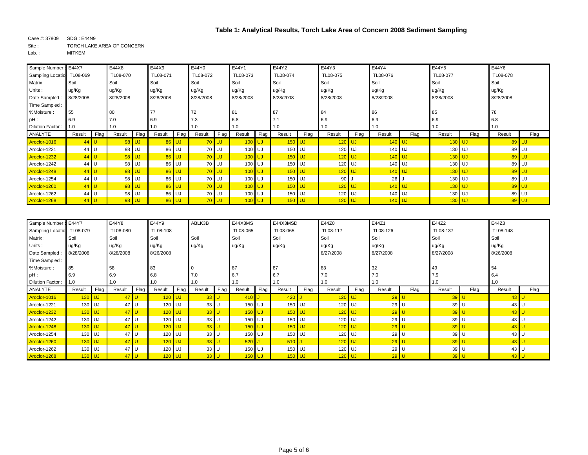| Sample Number: E44X7      |           |      | E44X8     |         | E44X9     |           | E44Y0     |         | E44Y1     |      | E44Y2     |      | E44Y3     |          | E44Y4     |      | E44Y5     |          | E44Y6     |       |
|---------------------------|-----------|------|-----------|---------|-----------|-----------|-----------|---------|-----------|------|-----------|------|-----------|----------|-----------|------|-----------|----------|-----------|-------|
| Sampling Locatio TL08-069 |           |      | TL08-070  |         | TL08-071  |           | TL08-072  |         | TL08-073  |      | TL08-074  |      | TL08-075  |          | TL08-076  |      | TL08-077  |          | TL08-078  |       |
| Matrix:                   | Soil      |      | Soil      |         | Soil      |           | Soil      |         | Soil      |      | Soil      |      | Soil      |          | Soil      |      | Soil      |          | Soil      |       |
| Units:                    | ug/Kg     |      | ug/Kg     |         | ug/Kg     |           | ug/Kg     |         | ug/Kg     |      | ug/Kg     |      | ug/Kg     |          | ug/Kg     |      | ug/Kg     |          | ug/Kg     |       |
| Date Sampled:             | 8/28/2008 |      | 8/28/2008 |         | 8/28/2008 |           | 8/28/2008 |         | 8/28/2008 |      | 8/28/2008 |      | 8/28/2008 |          | 8/28/2008 |      | 8/28/2008 |          | 8/28/2008 |       |
| Time Sampled:             |           |      |           |         |           |           |           |         |           |      |           |      |           |          |           |      |           |          |           |       |
| %Moisture:                | 55        |      | 80        |         | 77        |           | 72        |         | 81        |      | 87        |      | 84        |          | 86        |      | 85        |          | 78        |       |
| $pH$ :                    | 6.9       |      | 7.0       |         | 6.9       |           | 7.3       |         | 6.8       |      | 7.1       |      | 6.9       |          | 6.9       |      | 6.9       |          | 6.8       |       |
| Dilution Factor:          | 1.0       |      | 1.0       |         | 1.0       |           | 1.0       |         | 1.0       |      | 1.0       |      | 1.0       |          | 1.0       |      | 1.0       |          | 1.0       |       |
| ANALYTE                   | Result    | Flag | Result    | Flag    | Result    | Flag      | Result    | Flag    | Result    | Flag | Result    | Flag | Result    | Flag     | Result    | Flag | Result    | Flag     | Result    | Flag  |
| Aroclor-1016              | $44$ U    |      | $98$ UJ   |         |           | $86$ UJ   |           | $70$ UJ | $100$ UJ  |      | $150$ UJ  |      | $120$ UJ  |          | $140$ UJ  |      | $130$ UJ  |          | $89$ UJ   |       |
| Aroclor-1221              | 44 U      |      |           | 98 UJ   | 86        | <b>UJ</b> |           | 70 UJ   | 100 UJ    |      | 150 UJ    |      | $120$ UJ  |          | 140 UJ    |      | 130 UJ    |          | 89 UJ     |       |
| Aroclor-1232              | $44$ U    |      | $98$ UJ   |         |           | $86$ UJ   |           | $70$ UJ | $100$ UJ  |      | $150$ UJ  |      | $120$ UJ  |          | $140$ UJ  |      | $130$ UJ  |          | $89$ UJ   |       |
| Aroclor-1242              | 44 U      |      |           | 98 UJ   | 86        | <b>UJ</b> |           | 70 UJ   | 100 UJ    |      | 150 UJ    |      | 120 UJ    |          | 140 UJ    |      | 130 UJ    |          |           | 89 UJ |
| Aroclor-1248              | $44$ U    |      |           | $98$ UJ |           | $86$ UJ   |           | $70$ UJ | $100$ UJ  |      | $150$ UJ  |      | $120$ UJ  |          | $140$ UJ  |      | $130$ UJ  |          | 89 UJ     |       |
| Aroclor-1254              | 44        | U    |           | 98 UJ   | 86        | <b>UJ</b> |           | 70 UJ   | 100 UJ    |      | 150 UJ    |      | 90        |          | 26        |      | 130 UJ    |          |           | 89 UJ |
| Aroclor-1260              | $44$ U    |      |           | $98$ UJ |           | $86$ UJ   |           | $70$ UJ | $100$ UJ  |      | $150$ UJ  |      |           | $120$ UJ | $140$ UJ  |      |           | $130$ UJ | 89 UJ     |       |
| Aroclor-1262              | 44 U      |      |           | 98 UJ   | 86        | UJ.       |           | 70 UJ   | 100 UJ    |      | 150 UJ    |      | 120 UJ    |          | 140 UJ    |      | 130 UJ    |          |           | 89 UJ |
| Aroclor-1268              | $44$ U    |      | 98 UJ     |         |           | $86$ UJ   |           | $70$ UJ | $100$ UJ  |      | $150$ UJ  |      | $120$ UJ  |          | $140$ UJ  |      |           | $130$ UJ | 89 UJ     |       |

| Sample Number: E44Y7 |           |      | E44Y8     |      | E44Y9     |          | ABLK3B          |      | E44X3MS  |      | E44X3MSD |      | E44Z0     |          | E44Z1     |      | E44Z2     |      | E44Z3           |      |
|----------------------|-----------|------|-----------|------|-----------|----------|-----------------|------|----------|------|----------|------|-----------|----------|-----------|------|-----------|------|-----------------|------|
| Sampling Locatio     | TL08-079  |      | TL08-080  |      | TL08-108  |          |                 |      | TL08-065 |      | TL08-065 |      | TL08-117  |          | TL08-126  |      | TL08-137  |      | TL08-148        |      |
| Matrix:              | Soil      |      | Soil      |      | Soil      |          | Soil            |      | Soil     |      | Soil     |      | Soil      |          | Soil      |      | Soil      |      | Soil            |      |
| Units:               | ug/Kg     |      | ug/Kg     |      | ug/Kg     |          | ug/Kg           |      | ug/Kg    |      | ug/Kg    |      | ug/Kg     |          | ug/Kg     |      | ug/Kg     |      | ug/Kg           |      |
| Date Sampled         | 8/28/2008 |      | 8/28/2008 |      | 8/26/2008 |          |                 |      |          |      |          |      | 8/27/2008 |          | 8/27/2008 |      | 8/27/2008 |      | 8/26/2008       |      |
| Time Sampled:        |           |      |           |      |           |          |                 |      |          |      |          |      |           |          |           |      |           |      |                 |      |
| %Moisture:           | 85        |      | 58        |      | 83        |          |                 |      | 87       |      | 87       |      | 83        |          | 32        |      | 49        |      | 54              |      |
| $pH$ :               | 6.9       |      | 6.9       |      | 6.8       |          | 7.0             |      | 6.7      |      | 6.7      |      | 7.0       |          | 7.0       |      | 7.9       |      | 6.4             |      |
| Dilution Factor:     | 1.0       |      | 1.0       |      | 1.0       |          | 1.0             |      | 1.0      |      | 1.0      |      | 1.0       |          | 1.0       |      | 1.0       |      | 1.0             |      |
| ANALYTE              | Result    | Flag | Result    | Flag | Result    | Flag     | Result          | Flag | Result   | Flag | Result   | Flag | Result    | Flag     | Result    | Flag | Result    | Flag | Result          | Flag |
| Aroclor-1016         | $130$ UJ  |      | $47$ U    |      | $120$ UJ  |          | $33$ U          |      | $410$ J  |      | 420      |      | $120$ UJ  |          | $29$ U    |      | $39$ U    |      | 43              |      |
| Aroclor-1221         | 130 UJ    |      | 47        |      | 120 UJ    |          | $33$ U          |      | 150 UJ   |      | 150 UJ   |      | 120 UJ    |          | 29 U      |      | 39 U      |      | 43 U            |      |
| Aroclor-1232         | $130$ UJ  |      | $47$ U    |      | $120$ UJ  |          | $33$ U          |      | $150$ UJ |      | $150$ UJ |      | $120$ UJ  |          | $29$ U    |      | $39$ U    |      | 43              |      |
| Aroclor-1242         | 130 UJ    |      | 47 U      |      | $120$ UJ  |          | $33$ U          |      | 150 UJ   |      | 150 UJ   |      | 120 UJ    |          | $29$ U    |      | 39 U      |      | 43 U            |      |
| Aroclor-1248         | $130$ UJ  |      | $47$ U    |      |           | $120$ UJ | $33$ U          |      | $150$ UJ |      | $150$ UJ |      |           | $120$ UJ | $29$ U    |      | $39$ L    |      | 43              |      |
| Aroclor-1254         | 130 UJ    |      | 47 U      |      | $120$ UJ  |          | 33 U            |      | 150 UJ   |      | 150 UJ   |      | 120 UJ    |          | 29 U      |      | 39 U      |      | 43 U            |      |
| Aroclor-1260         | $130$ UJ  |      | 47        |      | $120$ UJ  |          | $33$ U          |      | $520$ J  |      | $510$ J  |      |           | $120$ UJ | $29$ U    |      | $39$ U    |      | 43 <sup>1</sup> |      |
| Aroclor-1262         | 130 UJ    |      | 47 U      |      | $120$ UJ  |          | 33 <sup>U</sup> |      | 150 UJ   |      | 150 UJ   |      | 120 UJ    |          | 29 U      |      | 39 U      |      | 43 U            |      |
| Aroclor-1268         | $130$ UJ  |      | $47$ U    |      |           | $120$ UJ | $33$ U          |      | $150$ UJ |      | $150$ UJ |      | $120$ UJ  |          | $29$ U    |      | $39$ U    |      | 43              |      |